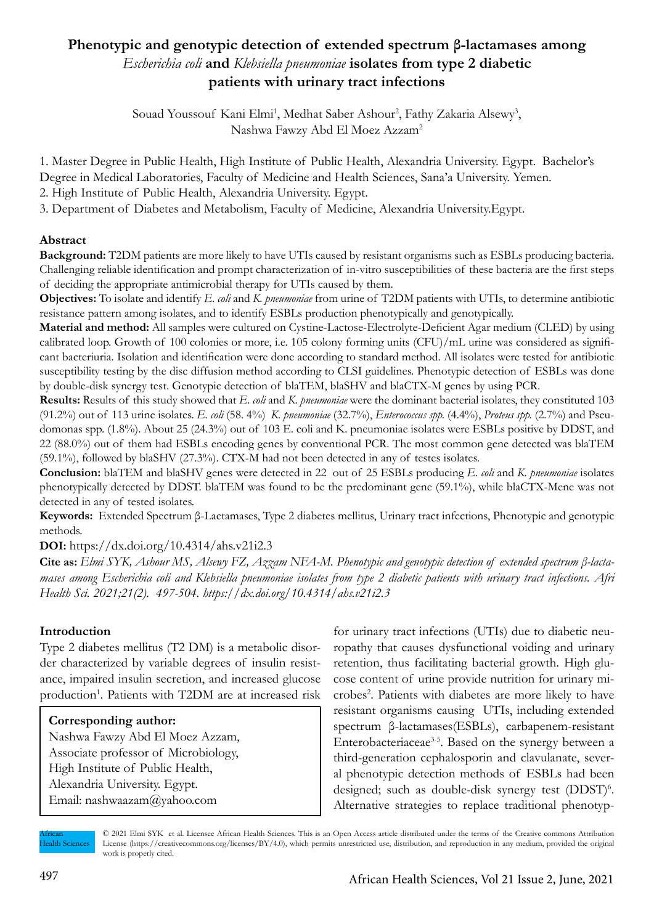# **Phenotypic and genotypic detection of extended spectrum β-lactamases among**  *Escherichia coli* **and** *Klebsiella pneumoniae* **isolates from type 2 diabetic patients with urinary tract infections**

Souad Youssouf Kani Elmi<sup>1</sup>, Medhat Saber Ashour<sup>2</sup>, Fathy Zakaria Alsewy<sup>3</sup>, Nashwa Fawzy Abd El Moez Azzam2

1. Master Degree in Public Health, High Institute of Public Health, Alexandria University. Egypt. Bachelor's Degree in Medical Laboratories, Faculty of Medicine and Health Sciences, Sana'a University. Yemen.

2. High Institute of Public Health, Alexandria University. Egypt.

3. Department of Diabetes and Metabolism, Faculty of Medicine, Alexandria University.Egypt.

## **Abstract**

**Background:** T2DM patients are more likely to have UTIs caused by resistant organisms such as ESBLs producing bacteria. Challenging reliable identification and prompt characterization of in-vitro susceptibilities of these bacteria are the first steps of deciding the appropriate antimicrobial therapy for UTIs caused by them.

**Objectives:** To isolate and identify *E. coli* and *K. pneumoniae* from urine of T2DM patients with UTIs, to determine antibiotic resistance pattern among isolates, and to identify ESBLs production phenotypically and genotypically.

**Material and method:** All samples were cultured on Cystine-Lactose-Electrolyte-Deficient Agar medium (CLED) by using calibrated loop. Growth of 100 colonies or more, i.e. 105 colony forming units (CFU)/mL urine was considered as significant bacteriuria. Isolation and identification were done according to standard method. All isolates were tested for antibiotic susceptibility testing by the disc diffusion method according to CLSI guidelines. Phenotypic detection of ESBLs was done by double-disk synergy test. Genotypic detection of blaTEM, blaSHV and blaCTX-M genes by using PCR.

**Results:** Results of this study showed that *E. coli* and *K. pneumoniae* were the dominant bacterial isolates, they constituted 103 (91.2%) out of 113 urine isolates. *E. coli* (58. 4%) *K. pneumoniae* (32.7%), *Enterococcus spp.* (4.4%), *Proteus spp.* (2.7%) and Pseudomonas spp. (1.8%). About 25 (24.3%) out of 103 E. coli and K. pneumoniae isolates were ESBLs positive by DDST, and 22 (88.0%) out of them had ESBLs encoding genes by conventional PCR. The most common gene detected was blaTEM (59.1%), followed by blaSHV (27.3%). CTX-M had not been detected in any of testes isolates.

**Conclusion:** blaTEM and blaSHV genes were detected in 22 out of 25 ESBLs producing *E. coli* and *K. pneumoniae* isolates phenotypically detected by DDST. blaTEM was found to be the predominant gene (59.1%), while blaCTX-Mene was not detected in any of tested isolates.

**Keywords:** Extended Spectrum β-Lactamases, Type 2 diabetes mellitus, Urinary tract infections, Phenotypic and genotypic methods.

**DOI:** https://dx.doi.org/10.4314/ahs.v21i2.3

**Cite as:** *Elmi SYK, Ashour MS, Alsewy FZ, Azzam NFA-M. Phenotypic and genotypic detection of extended spectrum β-lactamases among Escherichia coli and Klebsiella pneumoniae isolates from type 2 diabetic patients with urinary tract infections. Afri Health Sci. 2021;21(2). 497-504. https://dx.doi.org/10.4314/ahs.v21i2.3* 

#### **Introduction**

Type 2 diabetes mellitus (T2 DM) is a metabolic disorder characterized by variable degrees of insulin resistance, impaired insulin secretion, and increased glucose production<sup>1</sup>. Patients with T2DM are at increased risk

#### **Corresponding author:**

Nashwa Fawzy Abd El Moez Azzam, Associate professor of Microbiology, High Institute of Public Health, Alexandria University. Egypt. Email: nashwaazam@yahoo.com

for urinary tract infections (UTIs) due to diabetic neuropathy that causes dysfunctional voiding and urinary retention, thus facilitating bacterial growth. High glucose content of urine provide nutrition for urinary microbes2 . Patients with diabetes are more likely to have resistant organisms causing UTIs, including extended spectrum β-lactamases(ESBLs), carbapenem-resistant Enterobacteriaceae<sup>3-5</sup>. Based on the synergy between a third-generation cephalosporin and clavulanate, several phenotypic detection methods of ESBLs had been designed; such as double-disk synergy test (DDST)<sup>6</sup>. Alternative strategies to replace traditional phenotyp-

African **Health Sciences**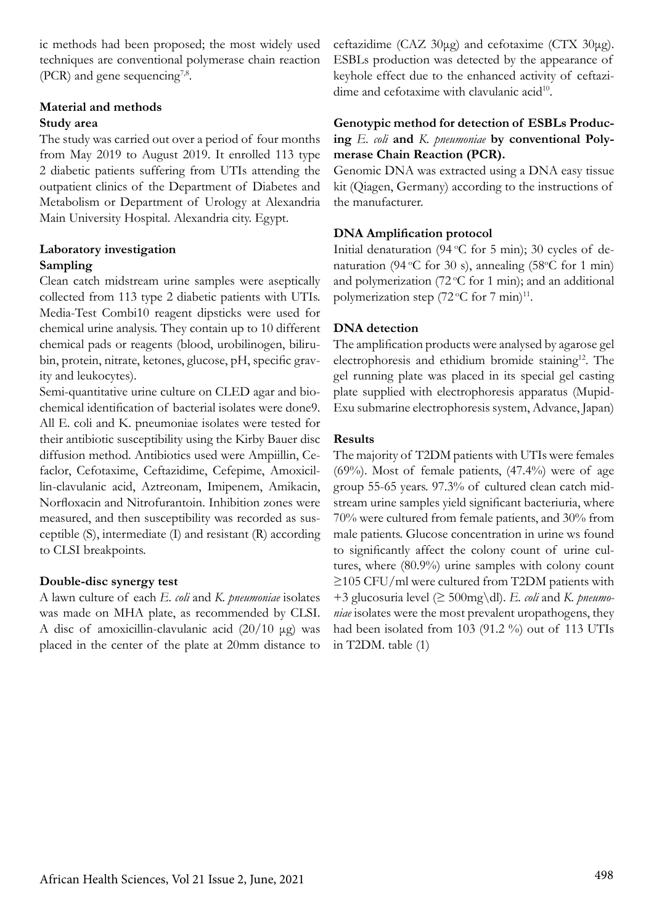ic methods had been proposed; the most widely used techniques are conventional polymerase chain reaction (PCR) and gene sequencing<sup>7,8</sup>.

### **Material and methods**

#### **Study area**

The study was carried out over a period of four months from May 2019 to August 2019. It enrolled 113 type 2 diabetic patients suffering from UTIs attending the outpatient clinics of the Department of Diabetes and Metabolism or Department of Urology at Alexandria Main University Hospital. Alexandria city. Egypt.

### **Laboratory investigation Sampling**

Clean catch midstream urine samples were aseptically collected from 113 type 2 diabetic patients with UTIs. Media-Test Combi10 reagent dipsticks were used for chemical urine analysis. They contain up to 10 different chemical pads or reagents (blood, urobilinogen, bilirubin, protein, nitrate, ketones, glucose, pH, specific gravity and leukocytes).

Semi-quantitative urine culture on CLED agar and biochemical identification of bacterial isolates were done9. All E. coli and K. pneumoniae isolates were tested for their antibiotic susceptibility using the Kirby Bauer disc diffusion method. Antibiotics used were Ampiillin, Cefaclor, Cefotaxime, Ceftazidime, Cefepime, Amoxicillin-clavulanic acid, Aztreonam, Imipenem, Amikacin, Norfloxacin and Nitrofurantoin. Inhibition zones were measured, and then susceptibility was recorded as susceptible (S), intermediate (I) and resistant (R) according to CLSI breakpoints.

## **Double-disc synergy test**

A lawn culture of each *E. coli* and *K. pneumoniae* isolates was made on MHA plate, as recommended by CLSI. A disc of amoxicillin-clavulanic acid (20/10 μg) was placed in the center of the plate at 20mm distance to

ceftazidime (CAZ 30μg) and cefotaxime (CTX 30μg). ESBLs production was detected by the appearance of keyhole effect due to the enhanced activity of ceftazidime and cefotaxime with clavulanic acid<sup>10</sup>.

#### **Genotypic method for detection of ESBLs Producing** *E. coli* **and** *K. pneumoniae* **by conventional Polymerase Chain Reaction (PCR).**

Genomic DNA was extracted using a DNA easy tissue kit (Qiagen, Germany) according to the instructions of the manufacturer.

## **DNA Amplification protocol**

Initial denaturation (94  $\mathrm{C}$  for 5 min); 30 cycles of denaturation (94 °C for 30 s), annealing (58°C for 1 min) and polymerization (72 $\mathrm{C}$  for 1 min); and an additional polymerization step  $(72 °C)$  for  $7$  min)<sup>11</sup>.

## **DNA detection**

The amplification products were analysed by agarose gel electrophoresis and ethidium bromide staining<sup>12</sup>. The gel running plate was placed in its special gel casting plate supplied with electrophoresis apparatus (Mupid-Exu submarine electrophoresis system, Advance, Japan)

### **Results**

The majority of T2DM patients with UTIs were females  $(69\%)$ . Most of female patients,  $(47.4\%)$  were of age group 55-65 years. 97.3% of cultured clean catch midstream urine samples yield significant bacteriuria, where 70% were cultured from female patients, and 30% from male patients. Glucose concentration in urine ws found to significantly affect the colony count of urine cultures, where (80.9%) urine samples with colony count ≥105 CFU/ml were cultured from T2DM patients with +3 glucosuria level (≥ 500mg\dl). *E. coli* and *K. pneumoniae* isolates were the most prevalent uropathogens, they had been isolated from 103 (91.2 %) out of 113 UTIs in T2DM. table (1)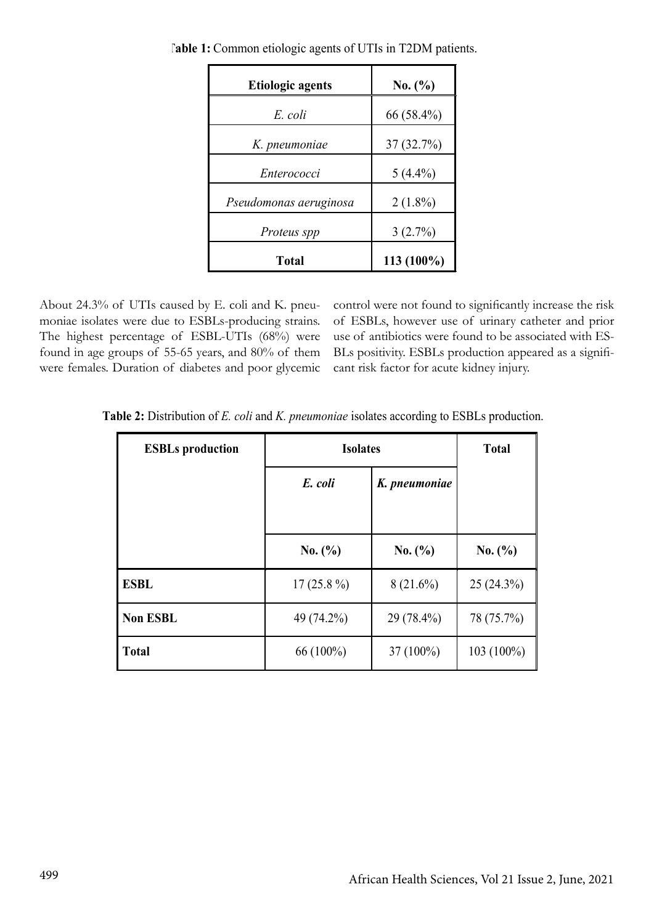| <b>Etiologic agents</b> | No. (%)    |
|-------------------------|------------|
| E. coli                 | 66 (58.4%) |
| K. pneumoniae           | 37(32.7%)  |
| Enterococci             | $5(4.4\%)$ |
| Pseudomonas aeruginosa  | $2(1.8\%)$ |
| Proteus spp             | 3(2.7%)    |
| Total                   | 113 (100%) |

 **Table 1:** Common etiologic agents of UTIs in T2DM patients.

About 24.3% of UTIs caused by E. coli and K. pneumoniae isolates were due to ESBLs-producing strains. The highest percentage of ESBL-UTIs (68%) were found in age groups of 55-65 years, and 80% of them were females. Duration of diabetes and poor glycemic control were not found to significantly increase the risk of ESBLs, however use of urinary catheter and prior use of antibiotics were found to be associated with ES-BLs positivity. ESBLs production appeared as a significant risk factor for acute kidney injury.

| <b>ESBLs</b> production | <b>Isolates</b> |               | <b>Total</b> |
|-------------------------|-----------------|---------------|--------------|
|                         | E. coli         | K. pneumoniae |              |
|                         |                 |               |              |
|                         | No. (%)         | No. (%)       | No. (%)      |
| <b>ESBL</b>             | $17(25.8\%)$    | $8(21.6\%)$   | 25(24.3%)    |
| <b>Non ESBL</b>         | 49 (74.2%)      | 29 (78.4%)    | 78 (75.7%)   |
| <b>Total</b>            | 66 (100%)       | $37(100\%)$   | 103 (100%)   |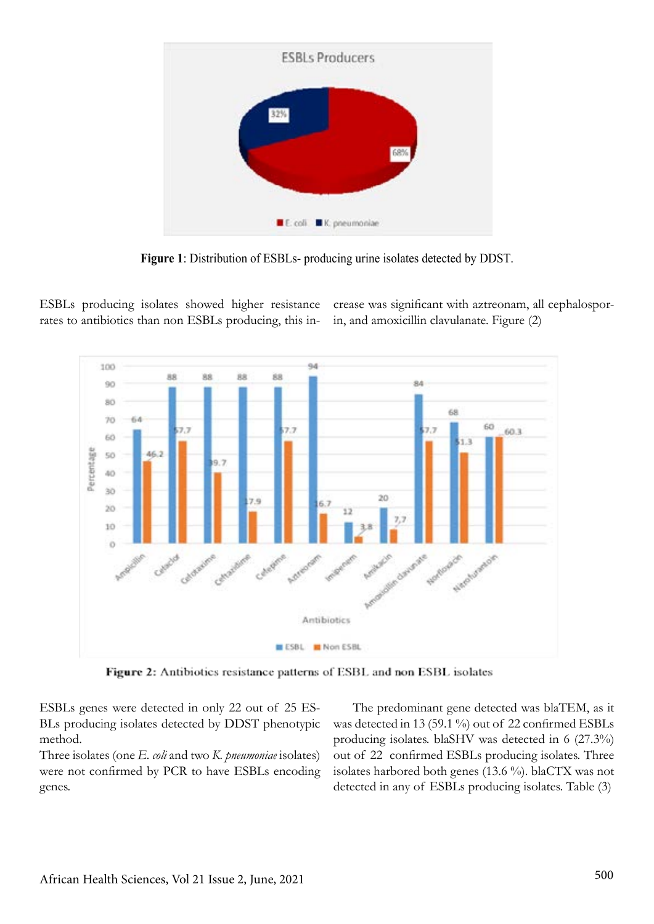

**Figure 1**: Distribution of ESBLs- producing urine isolates detected by DDST.

ESBLs producing isolates showed higher resistance rates to antibiotics than non ESBLs producing, this increase was significant with aztreonam, all cephalosporin, and amoxicillin clavulanate. Figure (2)



Figure 2: Antibiotics resistance patterns of ESBL and non ESBL isolates

ESBLs genes were detected in only 22 out of 25 ES-BLs producing isolates detected by DDST phenotypic method.

Three isolates (one *E. coli* and two *K. pneumoniae* isolates) were not confirmed by PCR to have ESBLs encoding genes.

 The predominant gene detected was blaTEM, as it was detected in 13 (59.1 %) out of 22 confirmed ESBLs producing isolates. blaSHV was detected in 6 (27.3%) out of 22 confirmed ESBLs producing isolates. Three isolates harbored both genes (13.6 %). blaCTX was not detected in any of ESBLs producing isolates. Table (3)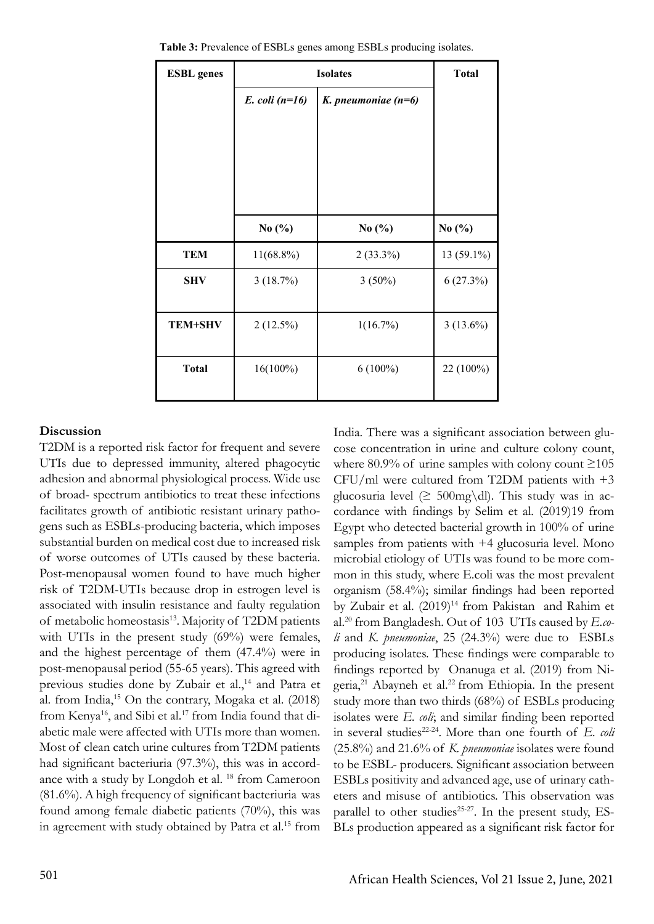| <b>ESBL</b> genes | <b>Isolates</b>      |                       | <b>Total</b> |
|-------------------|----------------------|-----------------------|--------------|
|                   | $E.$ coli ( $n=16$ ) | K. pneumoniae $(n=6)$ |              |
|                   |                      |                       |              |
|                   |                      |                       |              |
|                   |                      |                       |              |
|                   |                      |                       |              |
|                   | No $(\% )$           | No $(\%$              | No $(\% )$   |
| <b>TEM</b>        | $11(68.8\%)$         | $2(33.3\%)$           | 13 (59.1%)   |
| <b>SHV</b>        | 3(18.7%)             | $3(50\%)$             | 6(27.3%)     |
|                   |                      |                       |              |
| <b>TEM+SHV</b>    | $2(12.5\%)$          | 1(16.7%)              | $3(13.6\%)$  |
|                   |                      |                       |              |
| <b>Total</b>      | $16(100\%)$          | $6(100\%)$            | 22 (100%)    |
|                   |                      |                       |              |

 **Table 3:** Prevalence of ESBLs genes among ESBLs producing isolates.

#### **Discussion**

T2DM is a reported risk factor for frequent and severe UTIs due to depressed immunity, altered phagocytic adhesion and abnormal physiological process. Wide use of broad- spectrum antibiotics to treat these infections facilitates growth of antibiotic resistant urinary pathogens such as ESBLs-producing bacteria, which imposes substantial burden on medical cost due to increased risk of worse outcomes of UTIs caused by these bacteria. Post-menopausal women found to have much higher risk of T2DM-UTIs because drop in estrogen level is associated with insulin resistance and faulty regulation of metabolic homeostasis<sup>13</sup>. Majority of T2DM patients with UTIs in the present study (69%) were females, and the highest percentage of them (47.4%) were in post-menopausal period (55-65 years). This agreed with previous studies done by Zubair et al.,<sup>14</sup> and Patra et al. from India,15 On the contrary, Mogaka et al. (2018) from Kenya<sup>16</sup>, and Sibi et al.<sup>17</sup> from India found that diabetic male were affected with UTIs more than women. Most of clean catch urine cultures from T2DM patients had significant bacteriuria (97.3%), this was in accordance with a study by Longdoh et al. <sup>18</sup> from Cameroon (81.6%). A high frequency of significant bacteriuria was found among female diabetic patients (70%), this was in agreement with study obtained by Patra et al.<sup>15</sup> from

India. There was a significant association between glucose concentration in urine and culture colony count, where 80.9% of urine samples with colony count  $\geq$ 105 CFU/ml were cultured from T2DM patients with +3 glucosuria level ( $\geq 500$ mg\dl). This study was in accordance with findings by Selim et al. (2019)19 from Egypt who detected bacterial growth in 100% of urine samples from patients with  $+4$  glucosuria level. Mono microbial etiology of UTIs was found to be more common in this study, where E.coli was the most prevalent organism (58.4%); similar findings had been reported by Zubair et al. (2019)<sup>14</sup> from Pakistan and Rahim et al.20 from Bangladesh. Out of 103 UTIs caused by *E.coli* and *K. pneumoniae*, 25 (24.3%) were due to ESBLs producing isolates. These findings were comparable to findings reported by Onanuga et al. (2019) from Nigeria,<sup>21</sup> Abayneh et al.<sup>22</sup> from Ethiopia. In the present study more than two thirds (68%) of ESBLs producing isolates were *E. coli*; and similar finding been reported in several studies<sup>22-24</sup>. More than one fourth of *E. coli* (25.8%) and 21.6% of *K. pneumoniae* isolates were found to be ESBL- producers. Significant association between ESBLs positivity and advanced age, use of urinary catheters and misuse of antibiotics. This observation was parallel to other studies<sup>25-27</sup>. In the present study, ES-BLs production appeared as a significant risk factor for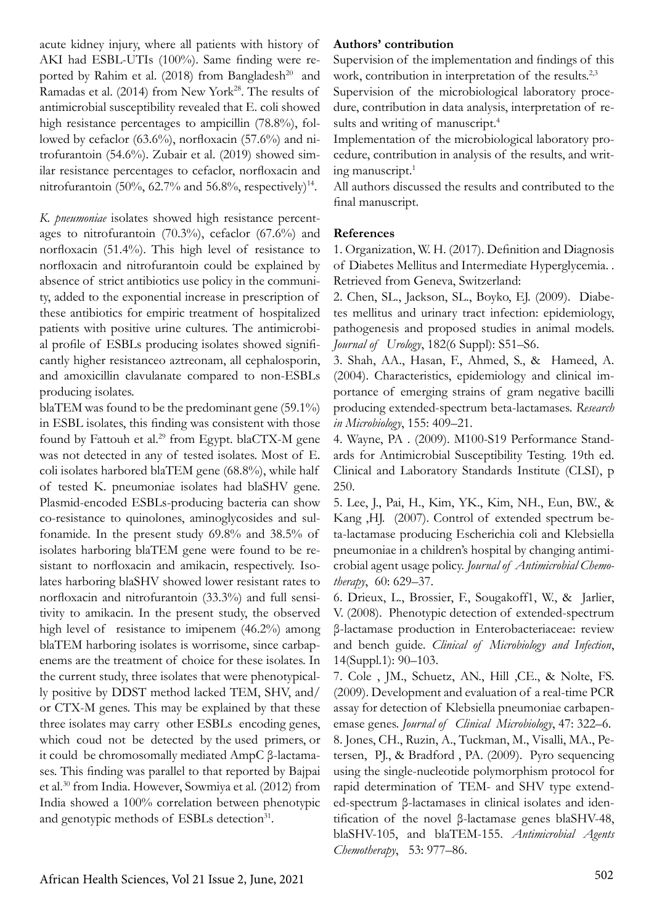lowed by cefaclor (63.6%), norfloxacin (57.6%) and nitrofurantoin (54.6%). Zubair et al. (2019) showed similar resistance percentages to cefaclor, norfloxacin and nitrofurantoin (50%, 62.7% and 56.8%, respectively)<sup>14</sup>. *K. pneumoniae* isolates showed high resistance percentages to nitrofurantoin (70.3%), cefaclor (67.6%) and norfloxacin (51.4%). This high level of resistance to norfloxacin and nitrofurantoin could be explained by

acute kidney injury, where all patients with history of AKI had ESBL-UTIs (100%). Same finding were reported by Rahim et al. (2018) from Bangladesh<sup>20</sup> and Ramadas et al. (2014) from New York<sup>28</sup>. The results of antimicrobial susceptibility revealed that E. coli showed high resistance percentages to ampicillin (78.8%), fol-

absence of strict antibiotics use policy in the community, added to the exponential increase in prescription of these antibiotics for empiric treatment of hospitalized patients with positive urine cultures. The antimicrobial profile of ESBLs producing isolates showed significantly higher resistanceo aztreonam, all cephalosporin, and amoxicillin clavulanate compared to non-ESBLs producing isolates.

blaTEM was found to be the predominant gene (59.1%) in ESBL isolates, this finding was consistent with those found by Fattouh et al.<sup>29</sup> from Egypt. blaCTX-M gene was not detected in any of tested isolates. Most of E. coli isolates harbored blaTEM gene (68.8%), while half of tested K. pneumoniae isolates had blaSHV gene. Plasmid-encoded ESBLs-producing bacteria can show co-resistance to quinolones, aminoglycosides and sulfonamide. In the present study 69.8% and 38.5% of isolates harboring blaTEM gene were found to be resistant to norfloxacin and amikacin, respectively. Isolates harboring blaSHV showed lower resistant rates to norfloxacin and nitrofurantoin (33.3%) and full sensitivity to amikacin. In the present study, the observed high level of resistance to imipenem (46.2%) among blaTEM harboring isolates is worrisome, since carbapenems are the treatment of choice for these isolates. In the current study, three isolates that were phenotypically positive by DDST method lacked TEM, SHV, and/ or CTX-M genes. This may be explained by that these three isolates may carry other ESBLs encoding genes, which coud not be detected by the used primers, or it could be chromosomally mediated AmpC β-lactamases. This finding was parallel to that reported by Bajpai et al.30 from India. However, Sowmiya et al. (2012) from India showed a 100% correlation between phenotypic and genotypic methods of ESBLs detection<sup>31</sup>.

#### **Authors' contribution**

Supervision of the implementation and findings of this work, contribution in interpretation of the results.<sup>2,3</sup>

Supervision of the microbiological laboratory procedure, contribution in data analysis, interpretation of results and writing of manuscript.<sup>4</sup>

Implementation of the microbiological laboratory procedure, contribution in analysis of the results, and writing manuscript.<sup>1</sup>

All authors discussed the results and contributed to the final manuscript.

#### **References**

1. Organization, W. H. (2017). Definition and Diagnosis of Diabetes Mellitus and Intermediate Hyperglycemia. . Retrieved from Geneva, Switzerland:

2. Chen, SL., Jackson, SL., Boyko, EJ. (2009). Diabetes mellitus and urinary tract infection: epidemiology, pathogenesis and proposed studies in animal models. *Journal of Urology*, 182(6 Suppl): S51–S6.

3. Shah, AA., Hasan, F., Ahmed, S., & Hameed, A. (2004). Characteristics, epidemiology and clinical importance of emerging strains of gram negative bacilli producing extended-spectrum beta-lactamases. *Research in Microbiology*, 155: 409–21.

4. Wayne, PA . (2009). M100-S19 Performance Standards for Antimicrobial Susceptibility Testing. 19th ed. Clinical and Laboratory Standards Institute (CLSI), p 250.

5. Lee, J., Pai, H., Kim, YK., Kim, NH., Eun, BW., & Kang ,HJ. (2007). Control of extended spectrum beta-lactamase producing Escherichia coli and Klebsiella pneumoniae in a children's hospital by changing antimicrobial agent usage policy. *Journal of Antimicrobial Chemotherapy*, 60: 629–37.

6. Drieux, L., Brossier, F., Sougakoff1, W., & Jarlier, V. (2008). Phenotypic detection of extended-spectrum β-lactamase production in Enterobacteriaceae: review and bench guide. *Clinical of Microbiology and Infection*, 14(Suppl.1): 90–103.

7. Cole , JM., Schuetz, AN., Hill ,CE., & Nolte, FS. (2009). Development and evaluation of a real-time PCR assay for detection of Klebsiella pneumoniae carbapenemase genes. *Journal of Clinical Microbiology*, 47: 322–6. 8. Jones, CH., Ruzin, A., Tuckman, M., Visalli, MA., Petersen, PJ., & Bradford , PA. (2009). Pyro sequencing using the single-nucleotide polymorphism protocol for rapid determination of TEM- and SHV type extended-spectrum β-lactamases in clinical isolates and identification of the novel β-lactamase genes blaSHV-48, blaSHV-105, and blaTEM-155. *Antimicrobial Agents Chemotherapy*, 53: 977–86.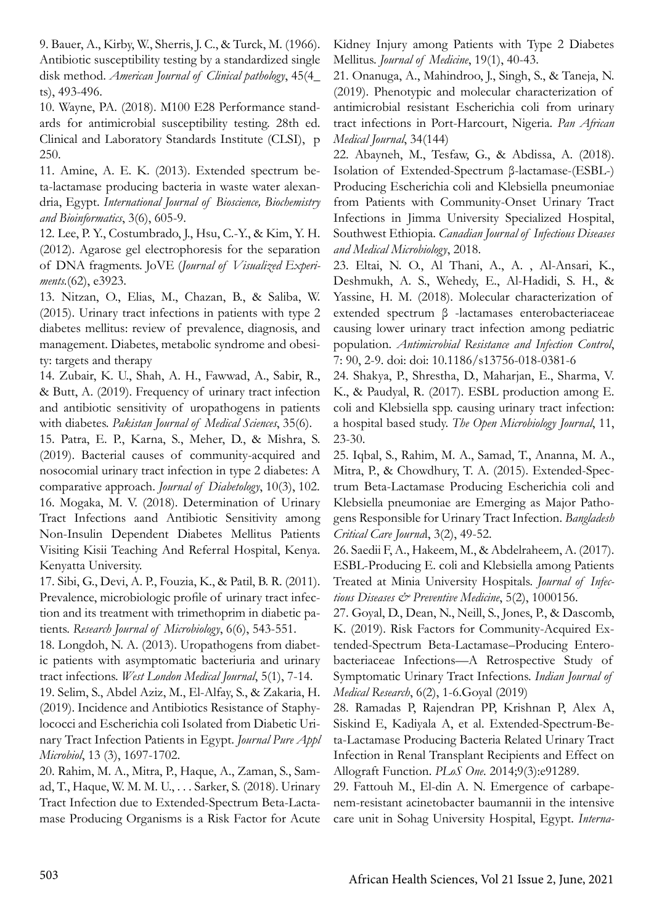9. Bauer, A., Kirby, W., Sherris, J. C., & Turck, M. (1966). Antibiotic susceptibility testing by a standardized single disk method. *American Journal of Clinical pathology*, 45(4\_ ts), 493-496.

10. Wayne, PA. (2018). M100 E28 Performance standards for antimicrobial susceptibility testing. 28th ed. Clinical and Laboratory Standards Institute (CLSI), p 250.

11. Amine, A. E. K. (2013). Extended spectrum beta-lactamase producing bacteria in waste water alexandria, Egypt. *International Journal of Bioscience, Biochemistry and Bioinformatics*, 3(6), 605-9.

12. Lee, P. Y., Costumbrado, J., Hsu, C.-Y., & Kim, Y. H. (2012). Agarose gel electrophoresis for the separation of DNA fragments. JoVE (*Journal of Visualized Experiments.*(62), e3923.

13. Nitzan, O., Elias, M., Chazan, B., & Saliba, W. (2015). Urinary tract infections in patients with type 2 diabetes mellitus: review of prevalence, diagnosis, and management. Diabetes, metabolic syndrome and obesity: targets and therapy

14. Zubair, K. U., Shah, A. H., Fawwad, A., Sabir, R., & Butt, A. (2019). Frequency of urinary tract infection and antibiotic sensitivity of uropathogens in patients with diabetes. *Pakistan Journal of Medical Sciences*, 35(6).

15. Patra, E. P., Karna, S., Meher, D., & Mishra, S. (2019). Bacterial causes of community-acquired and nosocomial urinary tract infection in type 2 diabetes: A comparative approach. *Journal of Diabetology*, 10(3), 102. 16. Mogaka, M. V. (2018). Determination of Urinary Tract Infections aand Antibiotic Sensitivity among Non-Insulin Dependent Diabetes Mellitus Patients Visiting Kisii Teaching And Referral Hospital, Kenya. Kenyatta University.

17. Sibi, G., Devi, A. P., Fouzia, K., & Patil, B. R. (2011). Prevalence, microbiologic profile of urinary tract infection and its treatment with trimethoprim in diabetic patients. *Research Journal of Microbiology*, 6(6), 543-551.

18. Longdoh, N. A. (2013). Uropathogens from diabetic patients with asymptomatic bacteriuria and urinary tract infections. *West London Medical Journal*, 5(1), 7-14.

19. Selim, S., Abdel Aziz, M., El-Alfay, S., & Zakaria, H. (2019). Incidence and Antibiotics Resistance of Staphylococci and Escherichia coli Isolated from Diabetic Urinary Tract Infection Patients in Egypt. *Journal Pure Appl Microbiol*, 13 (3), 1697-1702.

20. Rahim, M. A., Mitra, P., Haque, A., Zaman, S., Samad, T., Haque, W. M. M. U., . . . Sarker, S. (2018). Urinary Tract Infection due to Extended-Spectrum Beta-Lactamase Producing Organisms is a Risk Factor for Acute Kidney Injury among Patients with Type 2 Diabetes Mellitus. *Journal of Medicine*, 19(1), 40-43.

21. Onanuga, A., Mahindroo, J., Singh, S., & Taneja, N. (2019). Phenotypic and molecular characterization of antimicrobial resistant Escherichia coli from urinary tract infections in Port-Harcourt, Nigeria. *Pan African Medical Journal*, 34(144)

22. Abayneh, M., Tesfaw, G., & Abdissa, A. (2018). Isolation of Extended-Spectrum β-lactamase-(ESBL-) Producing Escherichia coli and Klebsiella pneumoniae from Patients with Community-Onset Urinary Tract Infections in Jimma University Specialized Hospital, Southwest Ethiopia. *Canadian Journal of Infectious Diseases and Medical Microbiology*, 2018.

23. Eltai, N. O., Al Thani, A., A. , Al-Ansari, K., Deshmukh, A. S., Wehedy, E., Al-Hadidi, S. H., & Yassine, H. M. (2018). Molecular characterization of extended spectrum β -lactamases enterobacteriaceae causing lower urinary tract infection among pediatric population. *Antimicrobial Resistance and Infection Control*, 7: 90, 2-9. doi: doi: 10.1186/s13756-018-0381-6

24. Shakya, P., Shrestha, D., Maharjan, E., Sharma, V. K., & Paudyal, R. (2017). ESBL production among E. coli and Klebsiella spp. causing urinary tract infection: a hospital based study. *The Open Microbiology Journal*, 11, 23-30.

25. Iqbal, S., Rahim, M. A., Samad, T., Ananna, M. A., Mitra, P., & Chowdhury, T. A. (2015). Extended-Spectrum Beta-Lactamase Producing Escherichia coli and Klebsiella pneumoniae are Emerging as Major Pathogens Responsible for Urinary Tract Infection. *Bangladesh Critical Care Journa*l, 3(2), 49-52.

26. Saedii F, A., Hakeem, M., & Abdelraheem, A. (2017). ESBL-Producing E. coli and Klebsiella among Patients Treated at Minia University Hospitals. *Journal of Infectious Diseases & Preventive Medicine*, 5(2), 1000156.

27. Goyal, D., Dean, N., Neill, S., Jones, P., & Dascomb, K. (2019). Risk Factors for Community-Acquired Extended-Spectrum Beta-Lactamase–Producing Enterobacteriaceae Infections—A Retrospective Study of Symptomatic Urinary Tract Infections. *Indian Journal of Medical Research*, 6(2), 1-6.Goyal (2019)

28. Ramadas P, Rajendran PP, Krishnan P, Alex A, Siskind E, Kadiyala A, et al. Extended-Spectrum-Beta-Lactamase Producing Bacteria Related Urinary Tract Infection in Renal Transplant Recipients and Effect on Allograft Function. *PLoS One*. 2014;9(3):e91289.

29. Fattouh M., El-din A. N. Emergence of carbapenem-resistant acinetobacter baumannii in the intensive care unit in Sohag University Hospital, Egypt. *Interna-*